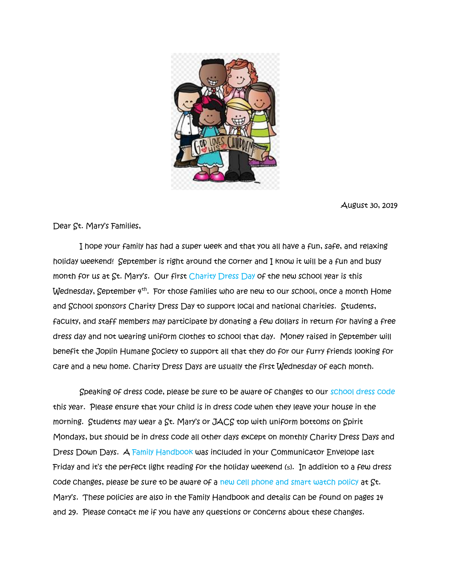

August 30, 2019

Dear St. Mary's Families,

 I hope your family has had a super week and that you all have a fun, safe, and relaxing holiday weekend! September is right around the corner and I know it will be a fun and busy month for us at St. Mary's. Our first Charity Dress Day of the new school year is this Wednesday, September 4<sup>th</sup>. For those families who are new to our school, once a month Home and School sponsors Charity Dress Day to support local and national charities. Students, faculty, and staff members may participate by donating a few dollars in return for having a free dress day and not wearing uniform clothes to school that day. Money raised in September will benefit the Joplin Humane Society to support all that they do for our furry friends looking for care and a new home. Charity Dress Days are usually the first Wednesday of each month.

 Speaking of dress code, please be sure to be aware of changes to our school dress code this year. Please ensure that your child is in dress code when they leave your house in the morning. Students may wear a St. Mary's or JACS top with uniform bottoms on Spirit Mondays, but should be in dress code all other days except on monthly Charity Dress Days and Dress Down Days. A Family Handbook was included in your Communicator Envelope last Friday and it's the perfect light reading for the holiday weekend (s). In addition to a few dress code changes, please be sure to be aware of a new cell phone and smart watch policy at St. Mary's. These policies are also in the Family Handbook and details can be found on pages 14 and 29. Please contact me if you have any questions or concerns about these changes.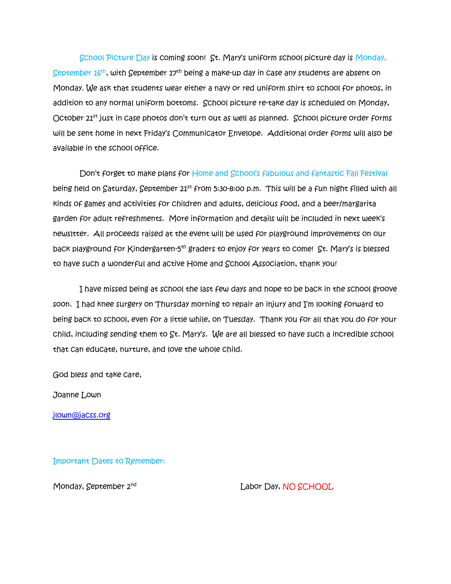School Picture Day is coming soon! St. Mary's uniform school picture day is Monday, September 16<sup>th</sup>, with September 17<sup>th</sup> being a make-up day in case any students are absent on Monday. We ask that students wear either a navy or red uniform shirt to school for photos, in addition to any normal uniform bottoms. School picture re-take day is scheduled on Monday, October 21<sup>st</sup> just in case photos don't turn out as well as planned. School picture order forms will be sent home in next Friday's Communicator Envelope. Additional order forms will also be available in the school office.

 Don't forget to make plans for Home and School's fabulous and fantastic Fall Festival being held on Saturday, September 21st from 5:30-8:00 p.m. This will be a fun night filled with all kinds of games and activities for children and adults, delicious food, and a beer/margarita garden for adult refreshments. More information and details will be included in next week's newsltter. All proceeds raised at the event will be used for playground improvements on our back playground for Kindergarten-5<sup>th</sup> graders to enjoy for years to come! St. Mary's is blessed to have such a wonderful and active Home and School Association, thank you!

 I have missed being at school the last few days and hope to be back in the school groove soon. I had knee surgery on Thursday morning to repair an injury and I'm looking forward to being back to school, even for a little while, on Tuesday. Thank you for all that you do for your child, including sending them to St. Mary's. We are all blessed to have such a incredible school that can educate, nurture, and love the whole child.

God bless and take care,

Joanne Lown

[jlown@jacss.org](mailto:jlown@jacss.org)

Important Dates to Remember:

Monday, September 2nd

Labor Day, NO SCHOOL